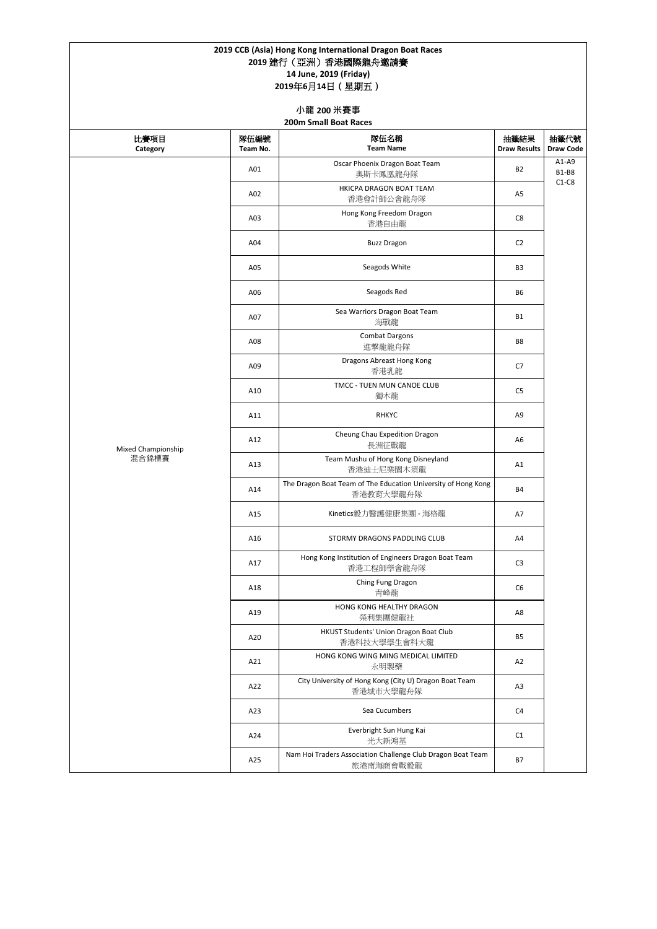|                    |                  | 2019 CCB (Asia) Hong Kong International Dragon Boat Races<br>2019 建行 (亞洲) 香港國際龍舟邀請賽<br>14 June, 2019 (Friday)<br>2019年6月14日 (星期五) |                             |                          |
|--------------------|------------------|-----------------------------------------------------------------------------------------------------------------------------------|-----------------------------|--------------------------|
|                    |                  | 小龍 200 米賽事<br><b>200m Small Boat Races</b>                                                                                        |                             |                          |
| 比賽項目<br>Category   | 隊伍編號<br>Team No. | 隊伍名稱<br><b>Team Name</b>                                                                                                          | 抽籤結果<br><b>Draw Results</b> | 抽籤代號<br><b>Draw Code</b> |
|                    | A01              | Oscar Phoenix Dragon Boat Team<br>奧斯卡鳳凰龍舟隊                                                                                        | <b>B2</b>                   | $A1-A9$<br><b>B1-B8</b>  |
|                    | A02              | HKICPA DRAGON BOAT TEAM<br>香港會計師公會龍舟隊                                                                                             | A <sub>5</sub>              | $C1-C8$                  |
|                    | A03              | Hong Kong Freedom Dragon<br>香港自由龍                                                                                                 | C8                          |                          |
|                    | A04              | <b>Buzz Dragon</b>                                                                                                                | C <sub>2</sub>              |                          |
|                    | A05              | Seagods White                                                                                                                     | B <sub>3</sub>              |                          |
|                    | A06              | Seagods Red                                                                                                                       | B <sub>6</sub>              |                          |
|                    | A07              | Sea Warriors Dragon Boat Team<br>海戰龍                                                                                              | <b>B1</b>                   |                          |
|                    | A08              | <b>Combat Dargons</b><br>進擊龍龍舟隊                                                                                                   | B8                          |                          |
|                    | A09              | Dragons Abreast Hong Kong<br>香港乳龍                                                                                                 | C7                          |                          |
|                    | A10              | TMCC - TUEN MUN CANOE CLUB<br>獨木龍                                                                                                 | C <sub>5</sub>              |                          |
|                    | A11              | <b>RHKYC</b>                                                                                                                      | A9                          |                          |
| Mixed Championship | A12              | Cheung Chau Expedition Dragon<br>長洲征戰龍                                                                                            | A6                          |                          |
| 混合錦標賽              | A13              | Team Mushu of Hong Kong Disneyland<br>香港迪士尼樂園木須龍                                                                                  | A1                          |                          |
|                    | A14              | The Dragon Boat Team of The Education University of Hong Kong<br>香港教育大學龍舟隊                                                        | <b>B4</b>                   |                          |
|                    | A15              | Kinetics毅力醫護健康集團 - 海格龍                                                                                                            | A7                          |                          |
|                    | A16              | STORMY DRAGONS PADDLING CLUB                                                                                                      | A4                          |                          |
|                    | A17              | Hong Kong Institution of Engineers Dragon Boat Team<br>香港工程師學會龍舟隊                                                                 | C <sub>3</sub>              |                          |
|                    | A18              | Ching Fung Dragon<br>青峰龍                                                                                                          | C <sub>6</sub>              |                          |
|                    | A19              | HONG KONG HEALTHY DRAGON<br>榮利集團健龍社                                                                                               | A8                          |                          |
|                    | A20              | HKUST Students' Union Dragon Boat Club<br>香港科技大學學生會科大龍                                                                            | <b>B5</b>                   |                          |
|                    | A21              | HONG KONG WING MING MEDICAL LIMITED<br>永明製藥                                                                                       | A2                          |                          |
|                    | A22              | City University of Hong Kong (City U) Dragon Boat Team<br>香港城市大學龍舟隊                                                               | A <sub>3</sub>              |                          |

| A23 | Sea Cucumbers                                                            | C <sub>4</sub> |  |
|-----|--------------------------------------------------------------------------|----------------|--|
| A24 | Everbright Sun Hung Kai<br>光大新鴻基                                         | C <sub>1</sub> |  |
| A25 | Nam Hoi Traders Association Challenge Club Dragon Boat Team<br>旅港南海商會戰毅龍 | B7             |  |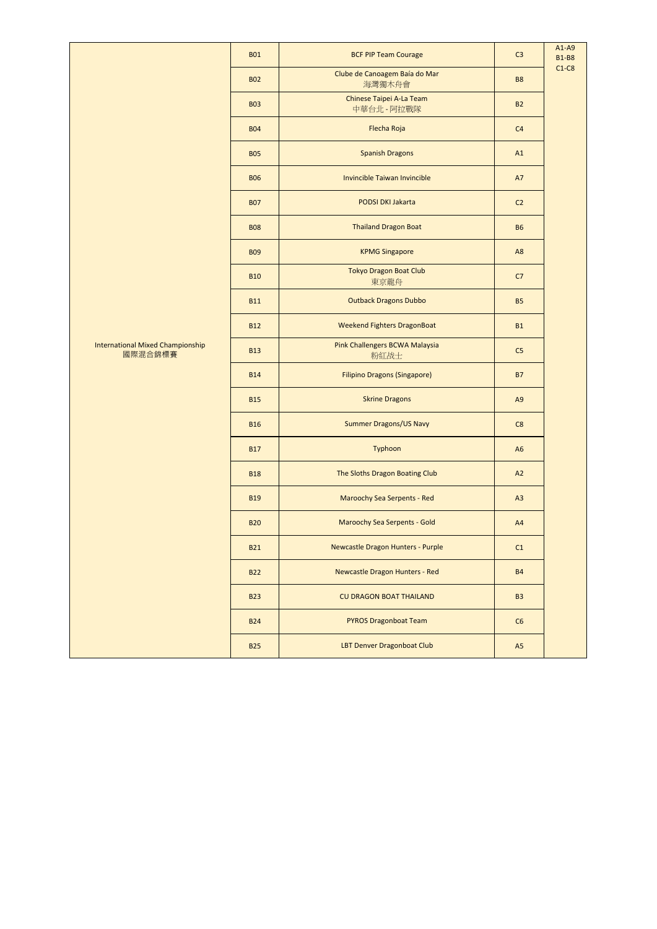|                                                    | <b>B01</b> | <b>BCF PIP Team Courage</b>             | C <sub>3</sub> | $A1-A9$<br><b>B1-B8</b> |
|----------------------------------------------------|------------|-----------------------------------------|----------------|-------------------------|
|                                                    | <b>B02</b> | Clube de Canoagem Baía do Mar<br>海灣獨木舟會 | <b>B8</b>      | $C1-C8$                 |
|                                                    | <b>B03</b> | Chinese Taipei A-La Team<br>中華台北 - 阿拉戰隊 | <b>B2</b>      |                         |
|                                                    | <b>B04</b> | Flecha Roja                             | C <sub>4</sub> |                         |
|                                                    | <b>B05</b> | <b>Spanish Dragons</b>                  | A1             |                         |
|                                                    | <b>B06</b> | Invincible Taiwan Invincible            | <b>A7</b>      |                         |
|                                                    | <b>B07</b> | <b>PODSI DKI Jakarta</b>                | C <sub>2</sub> |                         |
|                                                    | <b>B08</b> | <b>Thailand Dragon Boat</b>             | <b>B6</b>      |                         |
|                                                    | <b>B09</b> | <b>KPMG Singapore</b>                   | A <sub>8</sub> |                         |
|                                                    | <b>B10</b> | <b>Tokyo Dragon Boat Club</b><br>東京龍舟   | C7             |                         |
|                                                    | <b>B11</b> | <b>Outback Dragons Dubbo</b>            | <b>B5</b>      |                         |
|                                                    | <b>B12</b> | <b>Weekend Fighters DragonBoat</b>      | <b>B1</b>      |                         |
| <b>International Mixed Championship</b><br>國際混合錦標賽 | <b>B13</b> | Pink Challengers BCWA Malaysia<br>粉紅战士  | C <sub>5</sub> |                         |
|                                                    | <b>B14</b> | <b>Filipino Dragons (Singapore)</b>     | <b>B7</b>      |                         |
|                                                    | <b>B15</b> | <b>Skrine Dragons</b>                   | A <sub>9</sub> |                         |
|                                                    | <b>B16</b> | <b>Summer Dragons/US Navy</b>           | C8             |                         |
|                                                    | <b>B17</b> | Typhoon                                 | A <sub>6</sub> |                         |
|                                                    | <b>B18</b> | The Sloths Dragon Boating Club          | A2             |                         |
|                                                    | <b>B19</b> | Maroochy Sea Serpents - Red             | A3             |                         |
|                                                    | <b>B20</b> | <b>Maroochy Sea Serpents - Gold</b>     | A4             |                         |
|                                                    | <b>B21</b> | Newcastle Dragon Hunters - Purple       | C1             |                         |
|                                                    | <b>B22</b> | Newcastle Dragon Hunters - Red          | <b>B4</b>      |                         |
|                                                    | <b>B23</b> | <b>CU DRAGON BOAT THAILAND</b>          | <b>B3</b>      |                         |
|                                                    | <b>B24</b> | <b>PYROS Dragonboat Team</b>            | C6             |                         |
|                                                    | <b>B25</b> | LBT Denver Dragonboat Club              | A <sub>5</sub> |                         |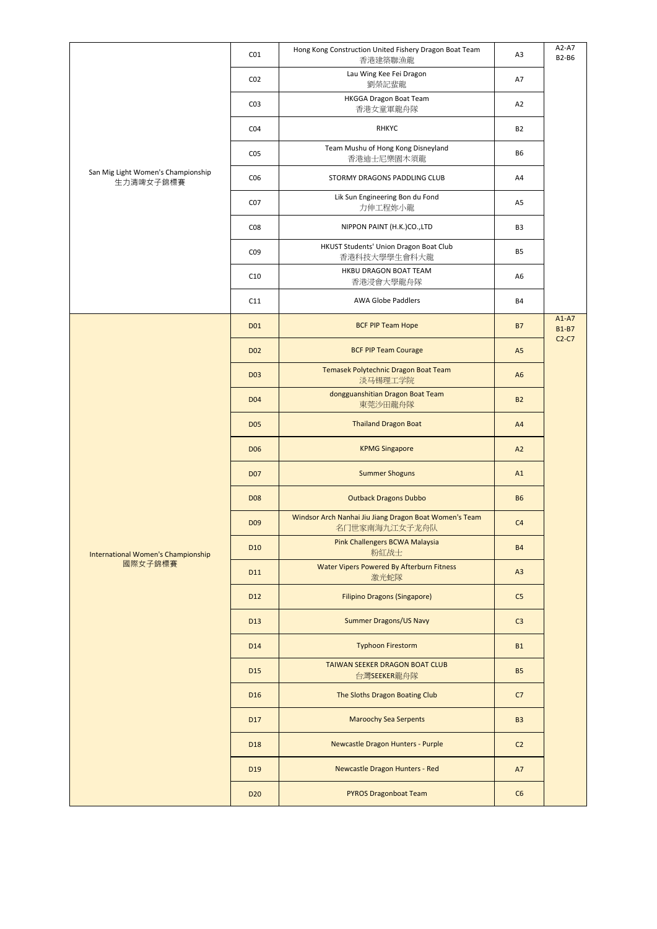|                                                 | CO <sub>1</sub> | Hong Kong Construction United Fishery Dragon Boat Team<br>香港建築聯漁龍       | A3             | A2-A7<br><b>B2-B6</b>   |
|-------------------------------------------------|-----------------|-------------------------------------------------------------------------|----------------|-------------------------|
| San Mig Light Women's Championship<br>生力清啤女子錦標賽 | CO <sub>2</sub> | Lau Wing Kee Fei Dragon<br>劉榮記蜚龍                                        | A7             |                         |
|                                                 | CO <sub>3</sub> | HKGGA Dragon Boat Team<br>香港女童軍龍舟隊                                      | A2             |                         |
|                                                 | CO <sub>4</sub> | <b>RHKYC</b>                                                            | <b>B2</b>      |                         |
|                                                 | CO <sub>5</sub> | Team Mushu of Hong Kong Disneyland<br>香港迪士尼樂園木須龍                        | <b>B6</b>      |                         |
|                                                 | CO6             | STORMY DRAGONS PADDLING CLUB                                            | A4             |                         |
|                                                 | CO <sub>7</sub> | Lik Sun Engineering Bon du Fond<br>力伸工程妳小龍                              | A <sub>5</sub> |                         |
|                                                 | CO8             | NIPPON PAINT (H.K.)CO.,LTD                                              | B <sub>3</sub> |                         |
|                                                 | CO <sub>9</sub> | HKUST Students' Union Dragon Boat Club<br>香港科技大學學生會科大龍                  | <b>B5</b>      |                         |
|                                                 | C10             | HKBU DRAGON BOAT TEAM<br>香港浸會大學龍舟隊                                      | A <sub>6</sub> |                         |
|                                                 | C11             | <b>AWA Globe Paddlers</b>                                               | <b>B4</b>      |                         |
|                                                 | D <sub>01</sub> | <b>BCF PIP Team Hope</b>                                                | <b>B7</b>      | $A1-A7$<br><b>B1-B7</b> |
|                                                 | D <sub>02</sub> | <b>BCF PIP Team Courage</b>                                             | A <sub>5</sub> | $C2-C7$                 |
|                                                 | <b>D03</b>      | Temasek Polytechnic Dragon Boat Team<br>淡马锡理工学院                         | A <sub>6</sub> |                         |
|                                                 | D <sub>04</sub> | dongguanshitian Dragon Boat Team<br>東莞沙田龍舟隊                             | <b>B2</b>      |                         |
|                                                 | <b>D05</b>      | <b>Thailand Dragon Boat</b>                                             | A4             |                         |
|                                                 | <b>D06</b>      | <b>KPMG Singapore</b>                                                   | A2             |                         |
|                                                 | <b>D07</b>      | <b>Summer Shoguns</b>                                                   | A1             |                         |
|                                                 | <b>D08</b>      | <b>Outback Dragons Dubbo</b>                                            | <b>B6</b>      |                         |
|                                                 | D <sub>09</sub> | Windsor Arch Nanhai Jiu Jiang Dragon Boat Women's Team<br>名门世家南海九江女子龙舟队 | C <sub>4</sub> |                         |
| International Women's Championship              | D <sub>10</sub> | Pink Challengers BCWA Malaysia<br>粉紅战士                                  | <b>B4</b>      |                         |
| 國際女子錦標賽                                         | D11             | Water Vipers Powered By Afterburn Fitness<br>激光蛇隊                       | A3             |                         |
|                                                 | D <sub>12</sub> | <b>Filipino Dragons (Singapore)</b>                                     | C <sub>5</sub> |                         |
|                                                 | D <sub>13</sub> | <b>Summer Dragons/US Navy</b>                                           | C <sub>3</sub> |                         |
|                                                 | D <sub>14</sub> | <b>Typhoon Firestorm</b>                                                | <b>B1</b>      |                         |
|                                                 | D <sub>15</sub> | TAIWAN SEEKER DRAGON BOAT CLUB<br>台灣SEEKER龍舟隊                           | <b>B5</b>      |                         |
|                                                 | D <sub>16</sub> | The Sloths Dragon Boating Club                                          | C7             |                         |

| D <sub>17</sub> | <b>Maroochy Sea Serpents</b>      | <b>B3</b>      |  |
|-----------------|-----------------------------------|----------------|--|
| D <sub>18</sub> | Newcastle Dragon Hunters - Purple | C <sub>2</sub> |  |
| D <sub>19</sub> | Newcastle Dragon Hunters - Red    | A7             |  |
| D <sub>20</sub> | <b>PYROS Dragonboat Team</b>      | C6             |  |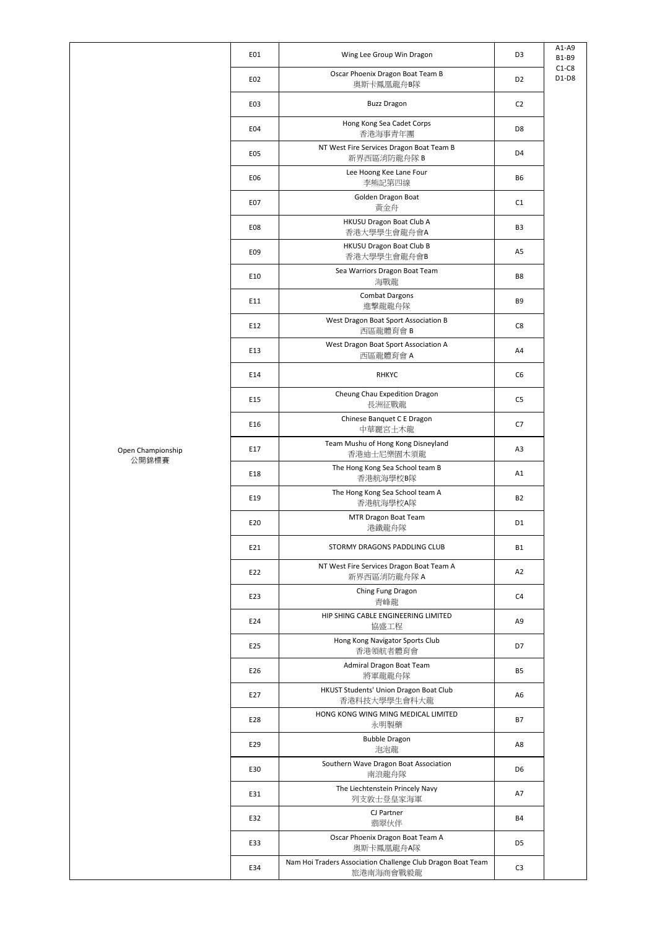|                 |                                                                          |                | $A1-A9$                 |
|-----------------|--------------------------------------------------------------------------|----------------|-------------------------|
| E01             | Wing Lee Group Win Dragon<br>Oscar Phoenix Dragon Boat Team B            | D <sub>3</sub> | <b>B1-B9</b><br>$C1-C8$ |
| E02             | 奥斯卡鳳凰龍舟B隊                                                                | D <sub>2</sub> | $D1-D8$                 |
| E03             | <b>Buzz Dragon</b>                                                       | C <sub>2</sub> |                         |
| E04             | Hong Kong Sea Cadet Corps<br>香港海事青年團                                     | D <sub>8</sub> |                         |
| E05             | NT West Fire Services Dragon Boat Team B<br>新界西區消防龍舟隊 B                  | D <sub>4</sub> |                         |
| E06             | Lee Hoong Kee Lane Four<br>李熊記第四線                                        | <b>B6</b>      |                         |
| E07             | Golden Dragon Boat<br>黃金舟                                                | C1             |                         |
| E08             | HKUSU Dragon Boat Club A<br>香港大學學生會龍舟會A                                  | B <sub>3</sub> |                         |
| E09             | HKUSU Dragon Boat Club B<br>香港大學學生會龍舟會B                                  | A5             |                         |
| E10             | Sea Warriors Dragon Boat Team<br>海戰龍                                     | B <sub>8</sub> |                         |
| E11             | <b>Combat Dargons</b>                                                    | B <sub>9</sub> |                         |
| E12             | 進擊龍龍舟隊<br>West Dragon Boat Sport Association B                           | C8             |                         |
| E13             | 西區龍體育會 B<br>West Dragon Boat Sport Association A                         | A4             |                         |
| E14             | 西區龍體育會 A<br><b>RHKYC</b>                                                 | C <sub>6</sub> |                         |
|                 |                                                                          |                |                         |
| E15             | Cheung Chau Expedition Dragon<br>長洲征戰龍                                   | C <sub>5</sub> |                         |
| E16             | Chinese Banquet C E Dragon<br>中華麗宮土木龍                                    | C7             |                         |
| E17             | Team Mushu of Hong Kong Disneyland<br>香港迪士尼樂園木須龍                         | A <sub>3</sub> |                         |
| E18             | The Hong Kong Sea School team B<br>香港航海學校B隊                              | A1             |                         |
| E19             | The Hong Kong Sea School team A<br>香港航海學校A隊                              | <b>B2</b>      |                         |
| E20             | MTR Dragon Boat Team<br>港鐵龍舟隊                                            | D <sub>1</sub> |                         |
| E21             | STORMY DRAGONS PADDLING CLUB                                             | <b>B1</b>      |                         |
| E22             | NT West Fire Services Dragon Boat Team A<br>新界西區消防龍舟隊 A                  | A2             |                         |
| E <sub>23</sub> | Ching Fung Dragon<br>青峰龍                                                 | C <sub>4</sub> |                         |
| E24             | HIP SHING CABLE ENGINEERING LIMITED                                      | A9             |                         |
| E <sub>25</sub> | 協盛工程<br>Hong Kong Navigator Sports Club                                  | D7             |                         |
| E26             | 香港領航者體育會<br>Admiral Dragon Boat Team                                     | <b>B5</b>      |                         |
| E27             | 將軍龍龍舟隊<br>HKUST Students' Union Dragon Boat Club                         | A6             |                         |
|                 | 香港科技大學學生會科大龍<br>HONG KONG WING MING MEDICAL LIMITED                      |                |                         |
| E28             | 永明製藥<br><b>Bubble Dragon</b>                                             | <b>B7</b>      |                         |
| E29             | 泡泡龍                                                                      | A8             |                         |
| E30             | Southern Wave Dragon Boat Association<br>南浪龍舟隊                           | D6             |                         |
| E31             | The Liechtenstein Princely Navy<br>列支敦士登皇家海軍                             | A7             |                         |
| E32             | CJ Partner<br>翡翠伙伴                                                       | <b>B4</b>      |                         |
| E33             | Oscar Phoenix Dragon Boat Team A<br>奥斯卡鳳凰龍舟A隊                            | D5             |                         |
| E34             | Nam Hoi Traders Association Challenge Club Dragon Boat Team<br>旅港南海商會戰毅龍 | C <sub>3</sub> |                         |

Open Championship 公開錦標賽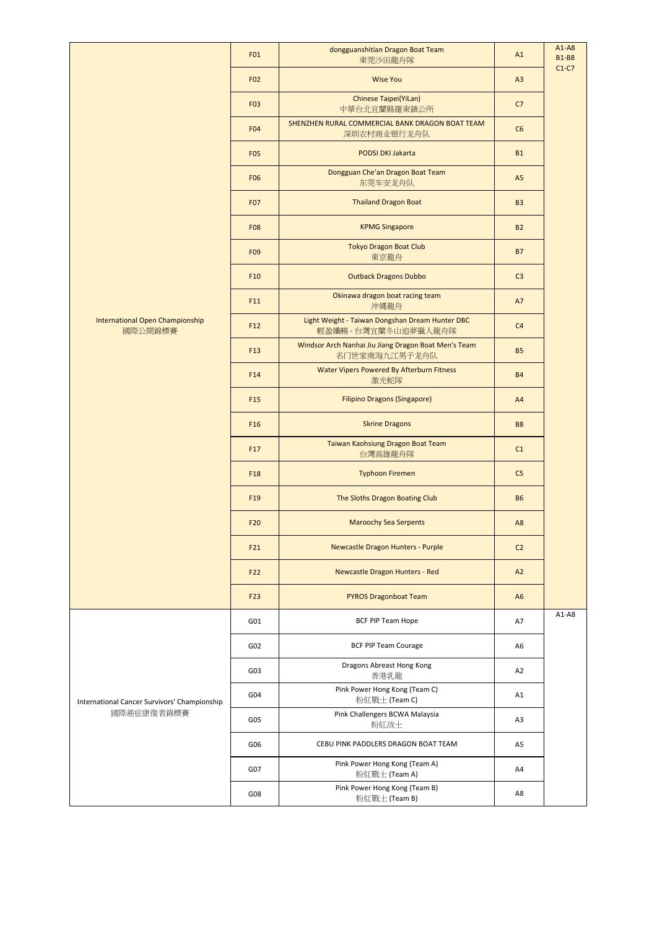|                                              | F01             | dongguanshitian Dragon Boat Team<br>東莞沙田龍舟隊                           | A1             | $A1-A8$<br><b>B1-B8</b> |
|----------------------------------------------|-----------------|-----------------------------------------------------------------------|----------------|-------------------------|
|                                              | F <sub>02</sub> | <b>Wise You</b>                                                       | A3             | $C1-C7$                 |
|                                              | F03             | Chinese Taipei(YiLan)<br>中華台北宜蘭縣羅東鎮公所                                 | C7             |                         |
|                                              | F04             | SHENZHEN RURAL COMMERCIAL BANK DRAGON BOAT TEAM<br>深圳农村商业银行龙舟队        | C6             |                         |
|                                              | <b>F05</b>      | <b>PODSI DKI Jakarta</b>                                              | <b>B1</b>      |                         |
|                                              | <b>F06</b>      | Dongguan Che'an Dragon Boat Team<br>东莞车安龙舟队                           | A5             |                         |
|                                              | <b>F07</b>      | <b>Thailand Dragon Boat</b>                                           | <b>B3</b>      |                         |
|                                              | <b>F08</b>      | <b>KPMG Singapore</b>                                                 | <b>B2</b>      |                         |
|                                              | F09             | <b>Tokyo Dragon Boat Club</b><br>東京龍舟                                 | <b>B7</b>      |                         |
|                                              | F <sub>10</sub> | <b>Outback Dragons Dubbo</b>                                          | C <sub>3</sub> |                         |
|                                              | F11             | Okinawa dragon boat racing team<br>沖縄龍舟                               | A7             |                         |
| International Open Championship<br>國際公開錦標賽   | F12             | Light Weight - Taiwan Dongshan Dream Hunter DBC<br>輕盈纖暢-台灣宜蘭冬山追夢獵人龍舟隊 | C <sub>4</sub> |                         |
|                                              | F <sub>13</sub> | Windsor Arch Nanhai Jiu Jiang Dragon Boat Men's Team<br>名门世家南海九江男子龙舟队 | <b>B5</b>      |                         |
|                                              | F14             | Water Vipers Powered By Afterburn Fitness<br>激光蛇隊                     | <b>B4</b>      |                         |
|                                              | F <sub>15</sub> | <b>Filipino Dragons (Singapore)</b>                                   | A4             |                         |
|                                              | F <sub>16</sub> | <b>Skrine Dragons</b>                                                 | <b>B8</b>      |                         |
|                                              | F17             | Taiwan Kaohsiung Dragon Boat Team<br>台灣高雄龍舟隊                          | C1             |                         |
|                                              | F <sub>18</sub> | <b>Typhoon Firemen</b>                                                | C <sub>5</sub> |                         |
|                                              | F <sub>19</sub> | The Sloths Dragon Boating Club                                        | <b>B6</b>      |                         |
|                                              | F <sub>20</sub> | <b>Maroochy Sea Serpents</b>                                          | A <sub>8</sub> |                         |
|                                              | F21             | Newcastle Dragon Hunters - Purple                                     | C <sub>2</sub> |                         |
|                                              | F <sub>22</sub> | Newcastle Dragon Hunters - Red                                        | A2             |                         |
|                                              | F <sub>23</sub> | <b>PYROS Dragonboat Team</b>                                          | A <sub>6</sub> |                         |
|                                              | G01             | BCF PIP Team Hope                                                     | A7             | $A1-A8$                 |
|                                              | G02             | <b>BCF PIP Team Courage</b>                                           | A <sub>6</sub> |                         |
|                                              | G03             | Dragons Abreast Hong Kong<br>香港乳龍                                     | A2             |                         |
| International Cancer Survivors' Championship | G04             | Pink Power Hong Kong (Team C)<br>粉紅戰士 (Team C)                        | A1             |                         |
| 國際癌症康復者錦標賽                                   | G05             | Pink Challengers BCWA Malaysia<br>粉紅战士                                | A <sub>3</sub> |                         |
|                                              | G06             | CEBU PINK PADDLERS DRAGON BOAT TEAM                                   | A <sub>5</sub> |                         |
|                                              | G07             | Pink Power Hong Kong (Team A)<br>粉紅戰士 (Team A)                        | A4             |                         |
|                                              | G08             | Pink Power Hong Kong (Team B)<br>粉紅戰士 (Team B)                        | A8             |                         |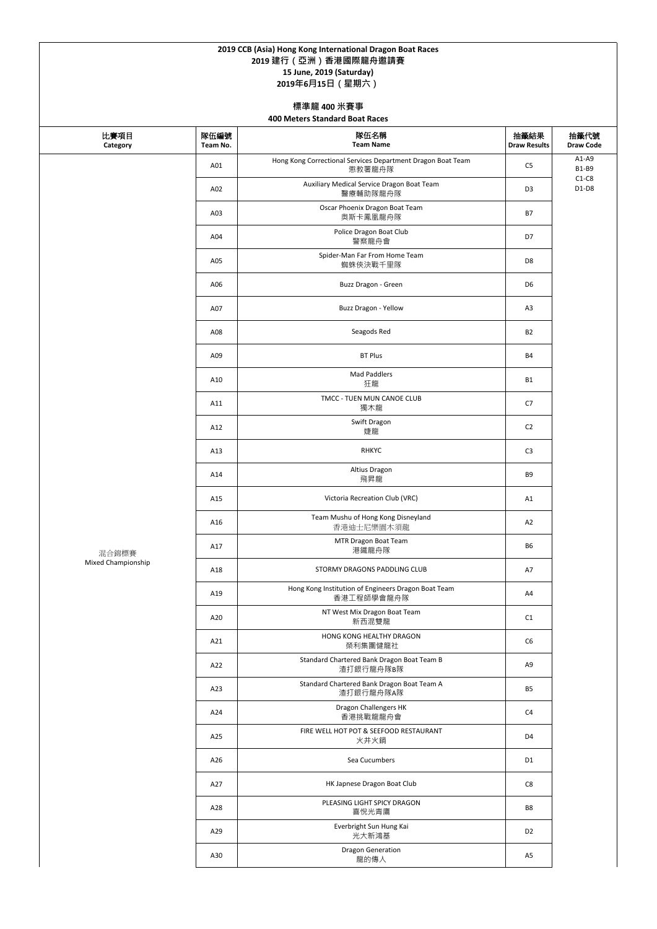| 比賽項目<br>Category   | 隊伍編號<br>Team No. | 隊伍名稱<br><b>Team Name</b>                                              | 抽籤結果<br><b>Draw Results</b> | 抽籤代號<br><b>Draw Code</b> |
|--------------------|------------------|-----------------------------------------------------------------------|-----------------------------|--------------------------|
|                    | A01              | Hong Kong Correctional Services Department Dragon Boat Team<br>懲教署龍舟隊 | C <sub>5</sub>              | $A1-A9$<br><b>B1-B9</b>  |
|                    | A02              | Auxiliary Medical Service Dragon Boat Team<br>醫療輔助隊龍舟隊                | D <sub>3</sub>              | $C1-C8$<br>$D1-D8$       |
|                    | A03              | Oscar Phoenix Dragon Boat Team<br>奥斯卡鳳凰龍舟隊                            | <b>B7</b>                   |                          |
|                    | A04              | Police Dragon Boat Club<br>警察龍舟會                                      | D7                          |                          |
|                    | A05              | Spider-Man Far From Home Team<br>蜘蛛俠決戰千里隊                             | D <sub>8</sub>              |                          |
|                    | A06              | Buzz Dragon - Green                                                   | D <sub>6</sub>              |                          |
|                    | A07              | Buzz Dragon - Yellow                                                  | A <sub>3</sub>              |                          |
|                    | A08              | Seagods Red                                                           | <b>B2</b>                   |                          |
|                    | A09              | <b>BT Plus</b>                                                        | <b>B4</b>                   |                          |
|                    | A10              | <b>Mad Paddlers</b><br>狂龍                                             | <b>B1</b>                   |                          |
|                    | A11              | TMCC - TUEN MUN CANOE CLUB<br>獨木龍                                     | C7                          |                          |
|                    | A12              | Swift Dragon<br>婕龍                                                    | C <sub>2</sub>              |                          |
|                    | A13              | <b>RHKYC</b>                                                          | C <sub>3</sub>              |                          |
|                    | A14              | Altius Dragon<br>飛昇龍                                                  | B9                          |                          |
|                    | A15              | Victoria Recreation Club (VRC)                                        | A1                          |                          |
|                    | A16              | Team Mushu of Hong Kong Disneyland<br>香港迪士尼樂園木須龍                      | A2                          |                          |
| 混合錦標賽              | A17              | MTR Dragon Boat Team<br>港鐵龍舟隊                                         | <b>B6</b>                   |                          |
| Mixed Championship | A18              | STORMY DRAGONS PADDLING CLUB                                          | A7                          |                          |
|                    | A19              | Hong Kong Institution of Engineers Dragon Boat Team<br>香港工程師學會龍舟隊     | A4                          |                          |
|                    | A20              | NT West Mix Dragon Boat Team<br>新西混雙龍                                 | C1                          |                          |
|                    | A21              | HONG KONG HEALTHY DRAGON<br>榮利集團健龍社                                   | C <sub>6</sub>              |                          |
|                    | A22              | Standard Chartered Bank Dragon Boat Team B<br>渣打銀行龍舟隊B隊               | A9                          |                          |
|                    | A23              | Standard Chartered Bank Dragon Boat Team A<br>渣打銀行龍舟隊A隊               | <b>B5</b>                   |                          |

| A24 | Dragon Challengers HK<br>香港挑戰龍龍舟會              | C <sub>4</sub> |
|-----|------------------------------------------------|----------------|
| A25 | FIRE WELL HOT POT & SEEFOOD RESTAURANT<br>火井火鍋 | D <sub>4</sub> |
| A26 | Sea Cucumbers                                  | D1             |
| A27 | HK Japnese Dragon Boat Club                    | C <sub>8</sub> |
| A28 | PLEASING LIGHT SPICY DRAGON<br>喜悅光青鷹           | B <sub>8</sub> |
| A29 | Everbright Sun Hung Kai<br>光大新鴻基               | D <sub>2</sub> |
| A30 | <b>Dragon Generation</b><br>龍的傳人               | A5             |

## **2019 CCB (Asia) Hong Kong International Dragon Boat Races 2019 建行(亞洲)香港國際龍舟邀請賽 15 June, 2019 (Saturday) 2019年6月15日(星期六)**

**標準龍 400 米賽事**

**400 Meters Standard Boat Races**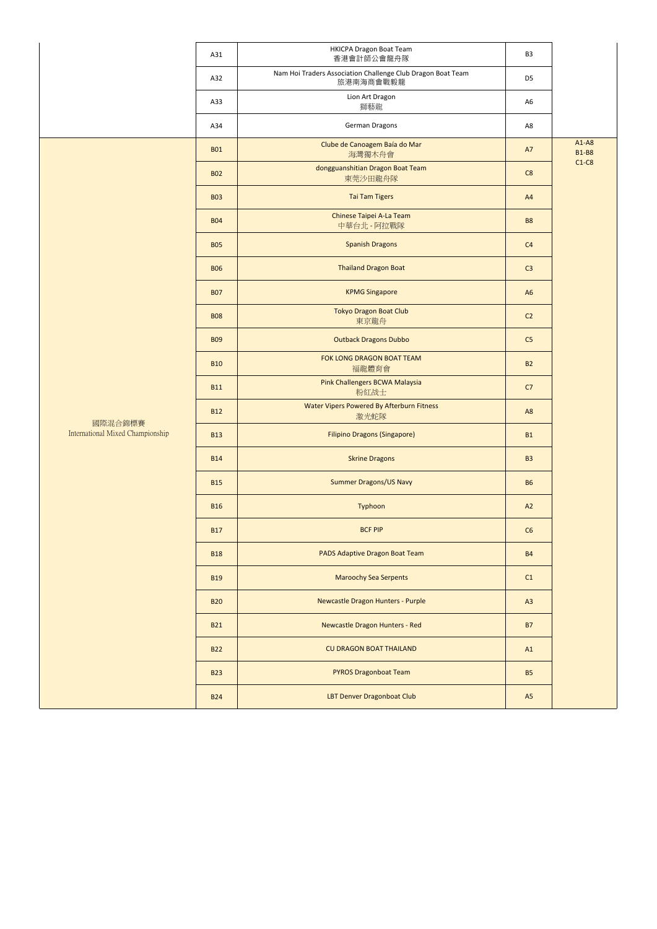|                                             | A31        | <b>HKICPA Dragon Boat Team</b><br>香港會計師公會龍舟隊                             | B <sub>3</sub> |                         |
|---------------------------------------------|------------|--------------------------------------------------------------------------|----------------|-------------------------|
|                                             | A32        | Nam Hoi Traders Association Challenge Club Dragon Boat Team<br>旅港南海商會戰毅龍 | D <sub>5</sub> |                         |
|                                             | A33        | Lion Art Dragon<br>獅藝龍                                                   | A <sub>6</sub> |                         |
|                                             | A34        | German Dragons                                                           | A8             |                         |
|                                             | <b>B01</b> | Clube de Canoagem Baía do Mar<br>海灣獨木舟會                                  | A7             | $A1-A8$<br><b>B1-B8</b> |
|                                             | <b>B02</b> | dongguanshitian Dragon Boat Team<br>東莞沙田龍舟隊                              | C8             | $C1-C8$                 |
|                                             | <b>B03</b> | <b>Tai Tam Tigers</b>                                                    | A4             |                         |
|                                             | <b>B04</b> | Chinese Taipei A-La Team<br>中華台北 - 阿拉戰隊                                  | <b>B8</b>      |                         |
|                                             | <b>B05</b> | <b>Spanish Dragons</b>                                                   | C <sub>4</sub> |                         |
|                                             | <b>B06</b> | <b>Thailand Dragon Boat</b>                                              | C <sub>3</sub> |                         |
|                                             | <b>B07</b> | <b>KPMG Singapore</b>                                                    | A <sub>6</sub> |                         |
|                                             | <b>B08</b> | <b>Tokyo Dragon Boat Club</b><br>東京龍舟                                    | C2             |                         |
|                                             | <b>B09</b> | <b>Outback Dragons Dubbo</b>                                             | C <sub>5</sub> |                         |
|                                             | <b>B10</b> | FOK LONG DRAGON BOAT TEAM<br>福龍體育會                                       | <b>B2</b>      |                         |
|                                             | <b>B11</b> | Pink Challengers BCWA Malaysia<br>粉紅战士                                   | C7             |                         |
|                                             | <b>B12</b> | Water Vipers Powered By Afterburn Fitness<br>激光蛇隊                        | A <sub>8</sub> |                         |
| 國際混合錦標賽<br>International Mixed Championship | <b>B13</b> | <b>Filipino Dragons (Singapore)</b>                                      | <b>B1</b>      |                         |
|                                             | <b>B14</b> | <b>Skrine Dragons</b>                                                    | <b>B3</b>      |                         |
|                                             | <b>B15</b> | <b>Summer Dragons/US Navy</b>                                            | <b>B6</b>      |                         |
|                                             | <b>B16</b> | Typhoon                                                                  | A2             |                         |
|                                             | <b>B17</b> | <b>BCF PIP</b>                                                           | C6             |                         |
|                                             | <b>B18</b> | PADS Adaptive Dragon Boat Team                                           | <b>B4</b>      |                         |
|                                             | <b>B19</b> | <b>Maroochy Sea Serpents</b>                                             | C1             |                         |
|                                             | <b>B20</b> | Newcastle Dragon Hunters - Purple                                        | A3             |                         |
|                                             | <b>B21</b> | Newcastle Dragon Hunters - Red                                           | <b>B7</b>      |                         |
|                                             | <b>B22</b> | <b>CU DRAGON BOAT THAILAND</b>                                           | A1             |                         |
|                                             | <b>B23</b> | <b>PYROS Dragonboat Team</b>                                             | <b>B5</b>      |                         |
|                                             | <b>B24</b> | LBT Denver Dragonboat Club                                               | A5             |                         |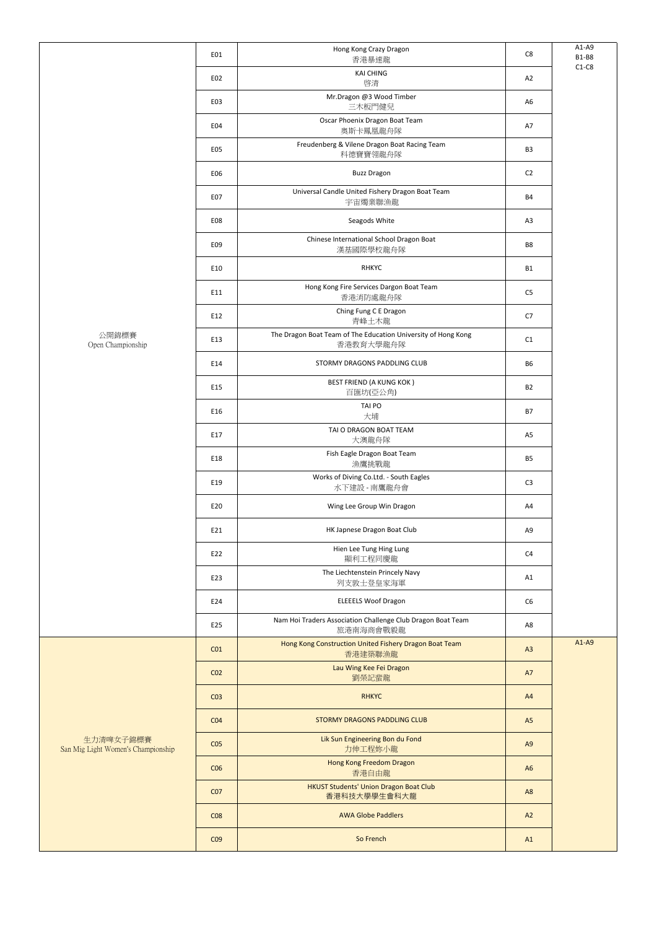|                                                 | E01             | Hong Kong Crazy Dragon<br>香港暴速龍                                            | C8             | $A1-A9$<br><b>B1-B8</b> |
|-------------------------------------------------|-----------------|----------------------------------------------------------------------------|----------------|-------------------------|
|                                                 | E02             | <b>KAI CHING</b><br>啓清                                                     | A2             | $C1-C8$                 |
|                                                 | E03             | Mr.Dragon @3 Wood Timber<br>三木板門健兒                                         | A <sub>6</sub> |                         |
|                                                 | E04             | Oscar Phoenix Dragon Boat Team<br>奥斯卡鳳凰龍舟隊                                 | A7             |                         |
|                                                 | E05             | Freudenberg & Vilene Dragon Boat Racing Team<br>科德寶寶翎龍舟隊                   | B <sub>3</sub> |                         |
|                                                 | E06             | <b>Buzz Dragon</b>                                                         | C <sub>2</sub> |                         |
|                                                 | E07             | Universal Candle United Fishery Dragon Boat Team<br>宇宙燭業聯漁龍                | <b>B4</b>      |                         |
|                                                 | E08             | Seagods White                                                              | A3             |                         |
|                                                 | E09             | Chinese International School Dragon Boat<br>漢基國際學校龍舟隊                      | B8             |                         |
|                                                 | E10             | <b>RHKYC</b>                                                               | <b>B1</b>      |                         |
|                                                 | E11             | Hong Kong Fire Services Dargon Boat Team<br>香港消防處龍舟隊                       | C <sub>5</sub> |                         |
|                                                 | E12             | Ching Fung C E Dragon<br>青峰土木龍                                             | C7             |                         |
| 公開錦標賽<br>Open Championship                      | E13             | The Dragon Boat Team of The Education University of Hong Kong<br>香港教育大學龍舟隊 | C1             |                         |
|                                                 | E14             | STORMY DRAGONS PADDLING CLUB                                               | <b>B6</b>      |                         |
|                                                 | E15             | <b>BEST FRIEND (A KUNG KOK)</b><br>百匯坊(亞公角)                                | ${\sf B2}$     |                         |
|                                                 | E16             | TAI PO<br>大埔                                                               | <b>B7</b>      |                         |
|                                                 | E17             | TAI O DRAGON BOAT TEAM<br>大澳龍舟隊                                            | A5             |                         |
|                                                 | E18             | Fish Eagle Dragon Boat Team<br>漁鷹挑戰龍                                       | B <sub>5</sub> |                         |
|                                                 | E19             | Works of Diving Co.Ltd. - South Eagles<br>水下建設 - 南鷹龍舟會                     | C <sub>3</sub> |                         |
|                                                 | E20             | Wing Lee Group Win Dragon                                                  | A4             |                         |
|                                                 | E21             | HK Japnese Dragon Boat Club                                                | A9             |                         |
|                                                 | E22             | Hien Lee Tung Hing Lung<br>顯利工程同慶龍                                         | C <sub>4</sub> |                         |
|                                                 | E23             | The Liechtenstein Princely Navy<br>列支敦士登皇家海軍                               | A1             |                         |
|                                                 | E24             | <b>ELEEELS Woof Dragon</b>                                                 | C6             |                         |
|                                                 | E25             | Nam Hoi Traders Association Challenge Club Dragon Boat Team<br>旅港南海商會戰毅龍   | A8             |                         |
|                                                 | CO <sub>1</sub> | Hong Kong Construction United Fishery Dragon Boat Team<br>香港建築聯漁龍          | A3             | $A1-A9$                 |
|                                                 | CO <sub>2</sub> | Lau Wing Kee Fei Dragon<br>劉榮記蜚龍                                           | A7             |                         |
| 生力清啤女子錦標賽<br>San Mig Light Women's Championship | CO <sub>3</sub> | <b>RHKYC</b>                                                               | A4             |                         |
|                                                 | CO <sub>4</sub> | STORMY DRAGONS PADDLING CLUB                                               | A5             |                         |
|                                                 | CO <sub>5</sub> | Lik Sun Engineering Bon du Fond<br>力伸工程妳小龍                                 | A <sub>9</sub> |                         |
|                                                 | CO6             | Hong Kong Freedom Dragon<br>香港自由龍                                          | A <sub>6</sub> |                         |
|                                                 | CO <sub>7</sub> | <b>HKUST Students' Union Dragon Boat Club</b><br>香港科技大學學生會科大龍              | A <sub>8</sub> |                         |
|                                                 | CO8             | <b>AWA Globe Paddlers</b>                                                  | A2             |                         |
|                                                 | CO <sub>9</sub> | So French                                                                  | A1             |                         |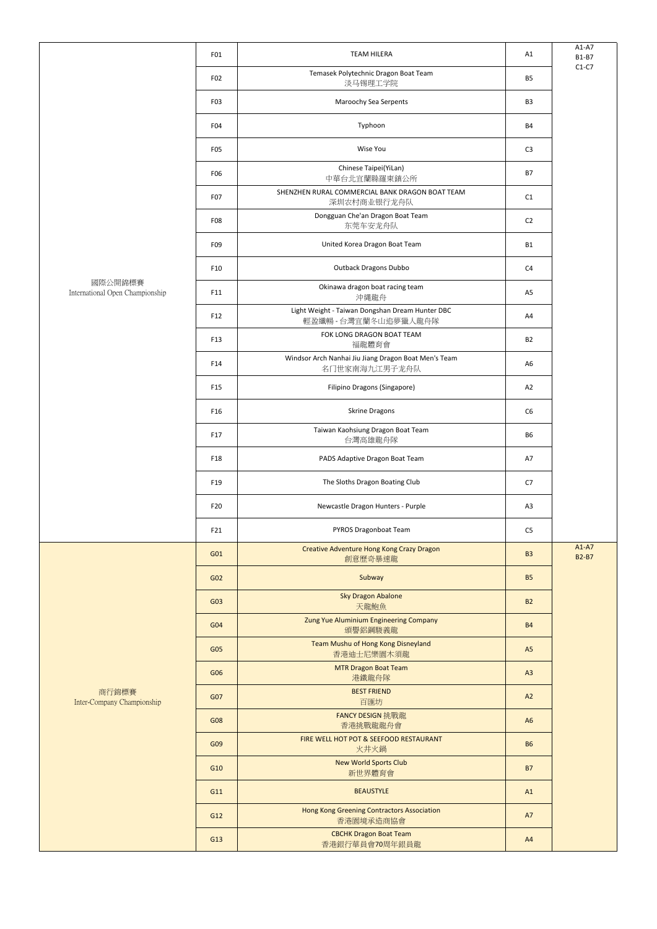|                                            | FO <sub>1</sub>  | <b>TEAM HILERA</b>                                                    | A1             | $A1-A7$<br><b>B1-B7</b> |
|--------------------------------------------|------------------|-----------------------------------------------------------------------|----------------|-------------------------|
|                                            | F02              | Temasek Polytechnic Dragon Boat Team<br>淡马锡理工学院                       | <b>B5</b>      | $C1-C7$                 |
|                                            | F03              | Maroochy Sea Serpents                                                 | B <sub>3</sub> |                         |
|                                            | F04              | Typhoon                                                               | <b>B4</b>      |                         |
|                                            | F <sub>0</sub> 5 | Wise You                                                              | C <sub>3</sub> |                         |
|                                            | F06              | Chinese Taipei(YiLan)<br>中華台北宜蘭縣羅東鎮公所                                 | <b>B7</b>      |                         |
|                                            | F <sub>0</sub> 7 | SHENZHEN RURAL COMMERCIAL BANK DRAGON BOAT TEAM<br>深圳农村商业银行龙舟队        | C1             |                         |
|                                            | F <sub>0</sub> 8 | Dongguan Che'an Dragon Boat Team<br>东莞车安龙舟队                           | C <sub>2</sub> |                         |
|                                            | F09              | United Korea Dragon Boat Team                                         | B1             |                         |
|                                            | F10              | <b>Outback Dragons Dubbo</b>                                          | C <sub>4</sub> |                         |
| 國際公開錦標賽<br>International Open Championship | F11              | Okinawa dragon boat racing team<br>沖縄龍舟                               | A <sub>5</sub> |                         |
|                                            | F12              | Light Weight - Taiwan Dongshan Dream Hunter DBC<br>輕盈纖暢-台灣宜蘭冬山追夢獵人龍舟隊 | A4             |                         |
|                                            | F13              | FOK LONG DRAGON BOAT TEAM<br>福龍體育會                                    | <b>B2</b>      |                         |
|                                            | F14              | Windsor Arch Nanhai Jiu Jiang Dragon Boat Men's Team<br>名门世家南海九江男子龙舟队 | A <sub>6</sub> |                         |
|                                            | F15              | Filipino Dragons (Singapore)                                          | A2             |                         |
|                                            | F16              | <b>Skrine Dragons</b>                                                 | C6             |                         |
|                                            | F17              | Taiwan Kaohsiung Dragon Boat Team<br>台灣高雄龍舟隊                          | B <sub>6</sub> |                         |
|                                            | F18              | PADS Adaptive Dragon Boat Team                                        | A7             |                         |
|                                            | F19              | The Sloths Dragon Boating Club                                        | C7             |                         |
|                                            | F20              | Newcastle Dragon Hunters - Purple                                     | A3             |                         |
|                                            | F21              | PYROS Dragonboat Team                                                 | C5             |                         |
|                                            | G01              | Creative Adventure Hong Kong Crazy Dragon<br>創意歷奇暴速龍                  | <b>B3</b>      | $A1-A7$<br><b>B2-B7</b> |
|                                            | G02              | Subway                                                                | <b>B5</b>      |                         |
|                                            | G03              | <b>Sky Dragon Abalone</b><br>天龍鮑魚                                     | <b>B2</b>      |                         |
| 商行錦標賽<br>Inter-Company Championship        | G <sub>04</sub>  | Zung Yue Aluminium Engineering Company<br>頒譽鋁鋼駿義龍                     | <b>B4</b>      |                         |
|                                            | G05              | Team Mushu of Hong Kong Disneyland<br>香港迪士尼樂園木須龍                      | A <sub>5</sub> |                         |
|                                            | G06              | <b>MTR Dragon Boat Team</b><br>港鐵龍舟隊                                  | A3             |                         |
|                                            | G07              | <b>BEST FRIEND</b><br>百匯坊                                             | A2             |                         |
|                                            | G08              | FANCY DESIGN 挑戰龍<br>香港挑戰龍龍舟會                                          | A <sub>6</sub> |                         |
|                                            | G09              | FIRE WELL HOT POT & SEEFOOD RESTAURANT<br>火井火鍋                        | <b>B6</b>      |                         |
|                                            | G10              | <b>New World Sports Club</b><br>新世界體育會                                | <b>B7</b>      |                         |
|                                            | G11              | <b>BEAUSTYLE</b>                                                      | A1             |                         |
|                                            | G12              | Hong Kong Greening Contractors Association<br>香港園境承造商協會               | <b>A7</b>      |                         |
|                                            | G13              | <b>CBCHK Dragon Boat Team</b><br>香港銀行華員會70周年銀員龍                       | A4             |                         |
|                                            |                  |                                                                       |                |                         |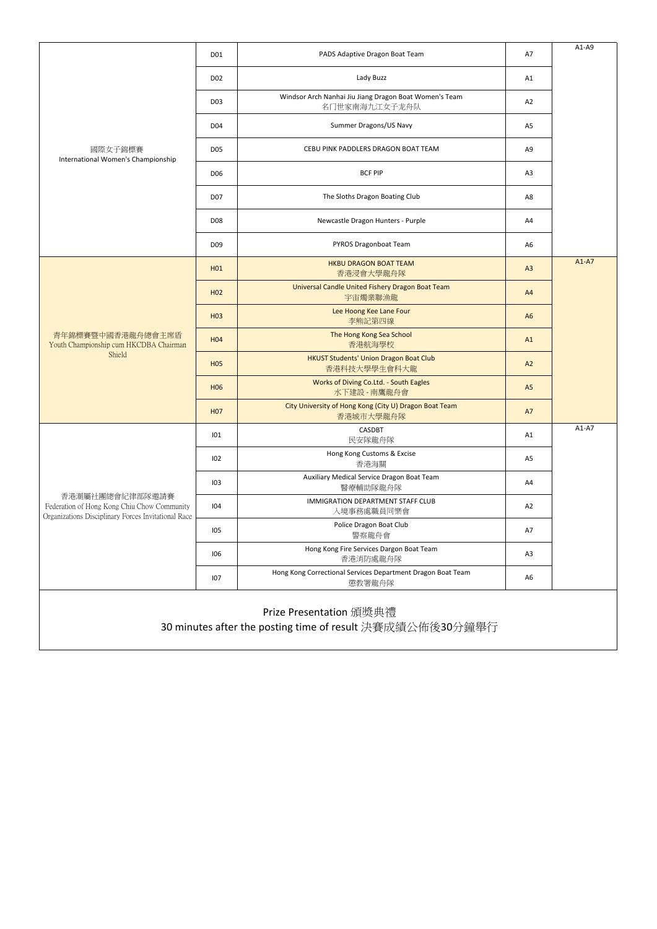| 國際女子錦標賽<br>International Women's Championship                                                                         | D01             | PADS Adaptive Dragon Boat Team                                                       | A7             | $A1-A9$ |
|-----------------------------------------------------------------------------------------------------------------------|-----------------|--------------------------------------------------------------------------------------|----------------|---------|
|                                                                                                                       | D <sub>02</sub> | Lady Buzz                                                                            | A1             |         |
|                                                                                                                       | D <sub>03</sub> | Windsor Arch Nanhai Jiu Jiang Dragon Boat Women's Team<br>名门世家南海九江女子龙舟队              | A2             |         |
|                                                                                                                       | D <sub>04</sub> | Summer Dragons/US Navy                                                               | A <sub>5</sub> |         |
|                                                                                                                       | <b>D05</b>      | CEBU PINK PADDLERS DRAGON BOAT TEAM                                                  | A9             |         |
|                                                                                                                       | D <sub>06</sub> | <b>BCF PIP</b>                                                                       | A <sub>3</sub> |         |
|                                                                                                                       | D <sub>07</sub> | The Sloths Dragon Boating Club                                                       | A8             |         |
|                                                                                                                       | <b>D08</b>      | Newcastle Dragon Hunters - Purple                                                    | A4             |         |
|                                                                                                                       | D <sub>09</sub> | PYROS Dragonboat Team                                                                | A <sub>6</sub> |         |
|                                                                                                                       | H <sub>01</sub> | <b>HKBU DRAGON BOAT TEAM</b><br>香港浸會大學龍舟隊                                            | A3             | $A1-A7$ |
| 青年錦標賽暨中國香港龍舟總會主席盾<br>Youth Championship cum HKCDBA Chairman<br>Shield                                                 | H <sub>02</sub> | Universal Candle United Fishery Dragon Boat Team<br>宇宙燭業聯漁龍                          | A4             |         |
|                                                                                                                       | H <sub>03</sub> | Lee Hoong Kee Lane Four<br>李熊記第四線                                                    | A <sub>6</sub> |         |
|                                                                                                                       | H <sub>04</sub> | The Hong Kong Sea School<br>香港航海學校                                                   | A1             |         |
|                                                                                                                       | <b>H05</b>      | HKUST Students' Union Dragon Boat Club<br>香港科技大學學生會科大龍                               | A2             |         |
|                                                                                                                       | H <sub>06</sub> | Works of Diving Co.Ltd. - South Eagles<br>水下建設 - 南鷹龍舟會                               | A <sub>5</sub> |         |
|                                                                                                                       | H <sub>07</sub> | City University of Hong Kong (City U) Dragon Boat Team<br>香港城市大學龍舟隊                  | A7             |         |
| 香港潮屬社團總會紀律部隊邀請賽<br>Federation of Hong Kong Chiu Chow Community<br>Organizations Disciplinary Forces Invitational Race | 101             | CASDBT<br>民安隊龍舟隊                                                                     | A1             | $A1-A7$ |
|                                                                                                                       | 102             | Hong Kong Customs & Excise<br>香港海關                                                   | A <sub>5</sub> |         |
|                                                                                                                       | 103             | Auxiliary Medical Service Dragon Boat Team<br>醫療輔助隊龍舟隊                               | A4             |         |
|                                                                                                                       | 104             | <b>IMMIGRATION DEPARTMENT STAFF CLUB</b><br>入境事務處職員同樂會                               | A2             |         |
|                                                                                                                       | 105             | Police Dragon Boat Club<br>警察龍舟會                                                     | A7             |         |
|                                                                                                                       | 106             | Hong Kong Fire Services Dargon Boat Team<br>香港消防處龍舟隊                                 | A <sub>3</sub> |         |
|                                                                                                                       | 107             | Hong Kong Correctional Services Department Dragon Boat Team<br>懲教署龍舟隊                | A6             |         |
|                                                                                                                       |                 | Prize Presentation 頒獎典禮<br>30 minutes after the posting time of result 決賽成績公佈後30分鐘舉行 |                |         |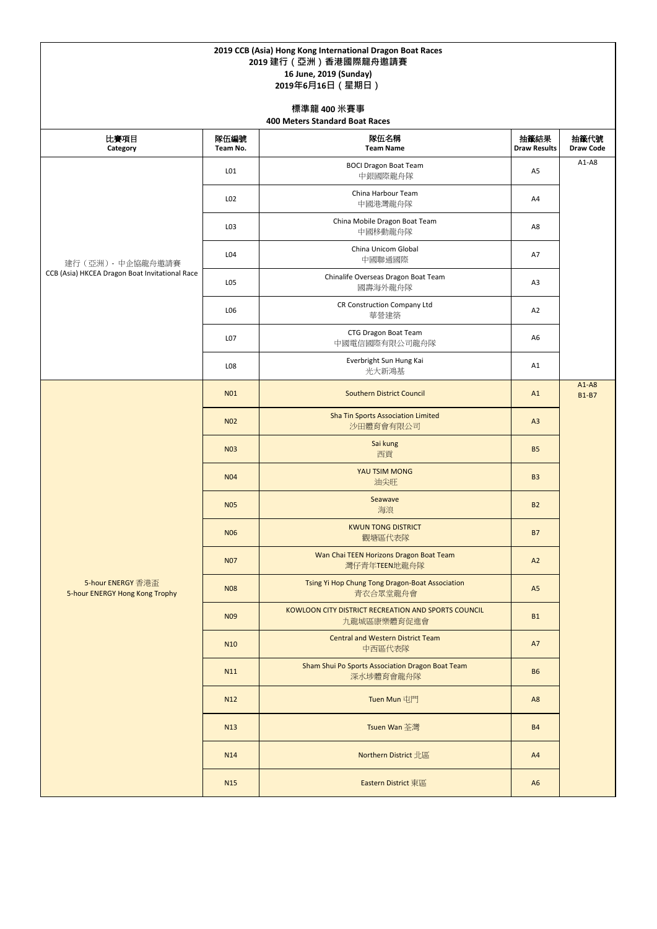## **2019 CCB (Asia) Hong Kong International Dragon Boat Races 2019 建行(亞洲)香港國際龍舟邀請賽 16 June, 2019 (Sunday) 2019年6月16日(星期日)**

| 比賽項目<br>Category                                                     | 隊伍編號<br>Team No. | 隊伍名稱<br><b>Team Name</b>                                           | 抽籤結果<br><b>Draw Results</b> | 抽籤代號<br><b>Draw Code</b>  |
|----------------------------------------------------------------------|------------------|--------------------------------------------------------------------|-----------------------------|---------------------------|
| 建行 (亞洲) - 中企協龍舟邀請賽<br>CCB (Asia) HKCEA Dragon Boat Invitational Race | L <sub>01</sub>  | <b>BOCI Dragon Boat Team</b><br>中銀國際龍舟隊                            | A <sub>5</sub>              | $A1-A8$                   |
|                                                                      | L <sub>02</sub>  | China Harbour Team<br>中國港灣龍舟隊                                      | A4                          |                           |
|                                                                      | L03              | China Mobile Dragon Boat Team<br>中國移動龍舟隊                           | A8                          |                           |
|                                                                      | L04              | China Unicom Global<br>中國聯通國際                                      | A7                          |                           |
|                                                                      | L05              | Chinalife Overseas Dragon Boat Team<br>國壽海外龍舟隊                     | A <sub>3</sub>              |                           |
|                                                                      | L06              | <b>CR Construction Company Ltd</b><br>華營建築                         | A2                          |                           |
|                                                                      | L07              | CTG Dragon Boat Team<br>中國電信國際有限公司龍舟隊                              | A <sub>6</sub>              |                           |
|                                                                      | L08              | Everbright Sun Hung Kai<br>光大新鴻基                                   | A1                          |                           |
|                                                                      | N <sub>01</sub>  | <b>Southern District Council</b>                                   | A1                          | $A1 - A8$<br><b>B1-B7</b> |
|                                                                      | <b>N02</b>       | <b>Sha Tin Sports Association Limited</b><br>沙田體育會有限公司             | A3                          |                           |
|                                                                      | <b>N03</b>       | Sai kung<br>西貢                                                     | <b>B5</b>                   |                           |
|                                                                      | <b>N04</b>       | YAU TSIM MONG<br>油尖旺                                               | <b>B3</b>                   |                           |
|                                                                      | <b>N05</b>       | Seawave<br>海浪                                                      | <b>B2</b>                   |                           |
|                                                                      | <b>N06</b>       | <b>KWUN TONG DISTRICT</b><br>觀塘區代表隊                                | <b>B7</b>                   |                           |
| 5-hour ENERGY 香港盃<br>5-hour ENERGY Hong Kong Trophy                  | <b>N07</b>       | Wan Chai TEEN Horizons Dragon Boat Team<br>灣仔青年TEEN地龍舟隊            | A2                          |                           |
|                                                                      | <b>N08</b>       | Tsing Yi Hop Chung Tong Dragon-Boat Association<br>青衣合眾堂龍舟會        | A <sub>5</sub>              |                           |
|                                                                      | N <sub>09</sub>  | KOWLOON CITY DISTRICT RECREATION AND SPORTS COUNCIL<br>九龍城區康樂體育促進會 | <b>B1</b>                   |                           |
|                                                                      | <b>N10</b>       | <b>Central and Western District Team</b><br>中西區代表隊                 | A7                          |                           |
|                                                                      | N11              | Sham Shui Po Sports Association Dragon Boat Team<br>深水埗體育會龍舟隊      | <b>B6</b>                   |                           |
|                                                                      | N <sub>12</sub>  | Tuen Mun 屯門                                                        | A <sub>8</sub>              |                           |
|                                                                      | N <sub>13</sub>  | Tsuen Wan 荃灣                                                       | <b>B4</b>                   |                           |
|                                                                      | N <sub>14</sub>  | Northern District 北區                                               | A4                          |                           |
|                                                                      | <b>N15</b>       | Eastern District 東區                                                | A <sub>6</sub>              |                           |

## **標準龍 400 米賽事 400 Meters Standard Boat Races**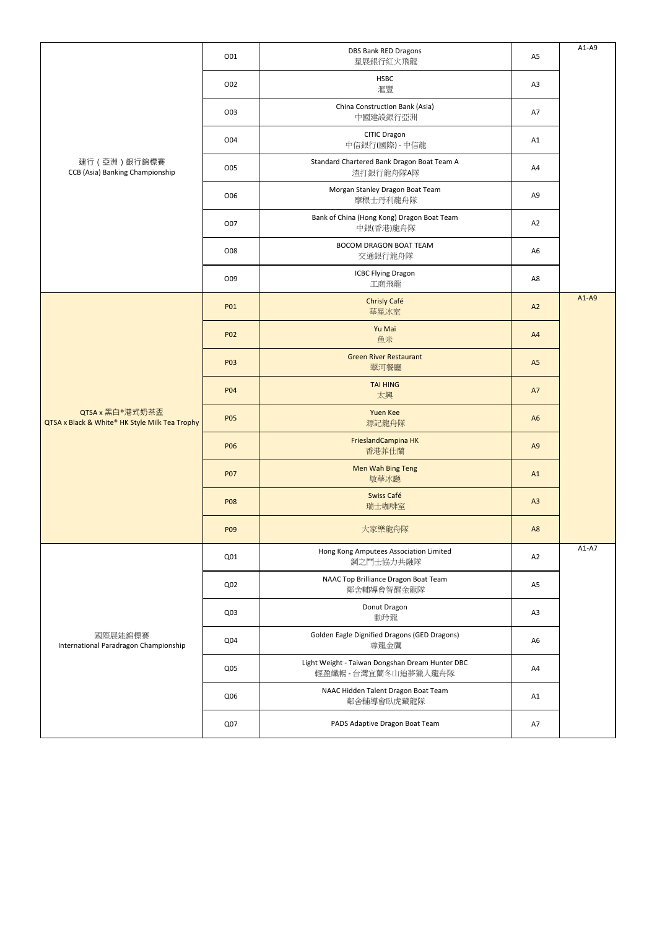| 建行 (亞洲)銀行錦標賽<br>CCB (Asia) Banking Championship                   | O01             | <b>DBS Bank RED Dragons</b><br>星展銀行紅火飛龍                                 | A <sub>5</sub> | $A1-A9$ |
|-------------------------------------------------------------------|-----------------|-------------------------------------------------------------------------|----------------|---------|
|                                                                   | O02             | <b>HSBC</b><br>滙豐                                                       | A3             |         |
|                                                                   | O03             | China Construction Bank (Asia)<br>中國建設銀行亞洲                              | A7             |         |
|                                                                   | O04             | CITIC Dragon<br>中信銀行(國際) - 中信龍                                          | A1             |         |
|                                                                   | O05             | Standard Chartered Bank Dragon Boat Team A<br>渣打銀行龍舟隊A隊                 | A4             |         |
|                                                                   | O06             | Morgan Stanley Dragon Boat Team<br>摩根士丹利龍舟隊                             | A <sub>9</sub> |         |
|                                                                   | O07             | Bank of China (Hong Kong) Dragon Boat Team<br>中銀(香港)龍舟隊                 | A2             |         |
|                                                                   | O08             | <b>BOCOM DRAGON BOAT TEAM</b><br>交通銀行龍舟隊                                | A <sub>6</sub> |         |
|                                                                   | O09             | <b>ICBC Flying Dragon</b><br>工商飛龍                                       | A8             |         |
|                                                                   | P01             | Chrisly Café<br>華星冰室                                                    | A2             | $A1-A9$ |
| QTSA x 黑白®港式奶茶盃<br>QTSA x Black & White® HK Style Milk Tea Trophy | P02             | Yu Mai<br>魚米                                                            | A4             |         |
|                                                                   | P03             | <b>Green River Restaurant</b><br>翠河餐廳                                   | A <sub>5</sub> |         |
|                                                                   | <b>P04</b>      | <b>TAI HING</b><br>太興                                                   | A7             |         |
|                                                                   | <b>P05</b>      | <b>Yuen Kee</b><br>源記龍舟隊                                                | A <sub>6</sub> |         |
|                                                                   | <b>P06</b>      | FrieslandCampina HK<br>香港菲仕蘭                                            | A <sub>9</sub> |         |
|                                                                   | <b>P07</b>      | Men Wah Bing Teng<br>敏華冰廳                                               | A1             |         |
|                                                                   | <b>P08</b>      | Swiss Café<br>瑞士咖啡室                                                     | A3             |         |
|                                                                   | P09             | 大家樂龍舟隊                                                                  | A <sub>8</sub> |         |
| 國際展能錦標賽<br>International Paradragon Championship                  | Q <sub>01</sub> | Hong Kong Amputees Association Limited<br>鋼之鬥士協力共融隊                     | A2             | $A1-A7$ |
|                                                                   | Q <sub>02</sub> | NAAC Top Brilliance Dragon Boat Team<br>鄰舍輔導會智醒金龍隊                      | A <sub>5</sub> |         |
|                                                                   | Q03             | Donut Dragon<br>動玲龍                                                     | A <sub>3</sub> |         |
|                                                                   | Q04             | Golden Eagle Dignified Dragons (GED Dragons)<br>尊龍金鷹                    | A <sub>6</sub> |         |
|                                                                   | Q <sub>05</sub> | Light Weight - Taiwan Dongshan Dream Hunter DBC<br>輕盈纖暢 - 台灣宜蘭冬山追夢獵人龍舟隊 | A4             |         |
|                                                                   | Q06             | NAAC Hidden Talent Dragon Boat Team<br>鄰舍輔導會臥虎藏龍隊                       | A1             |         |
|                                                                   | Q07             | PADS Adaptive Dragon Boat Team                                          | A7             |         |